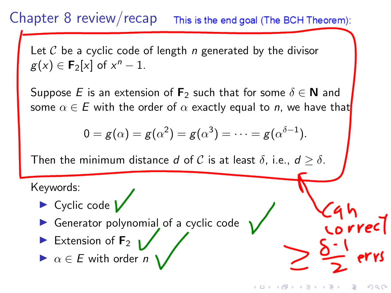#### Chapter 8 review/recap This is the end goal (The BCH Theorem):

Let  $\mathcal C$  be a cyclic code of length n generated by the divisor  $g(x) \in \mathbf{F}_2[x]$  of  $x^n - 1$ .

Suppose E is an extension of  $\mathbf{F}_2$  such that for some  $\delta \in \mathbf{N}$  and some  $\alpha \in E$  with the order of  $\alpha$  exactly equal to n, we have that

$$
0 = g(\alpha) = g(\alpha^2) = g(\alpha^3) = \cdots = g(\alpha^{\delta-1}).
$$

イロト イ押ト イヨト イヨト

 $2990$ 

Then the minimum distance d of C is at least  $\delta$ , i.e.,  $d \geq \delta$ .

Keywords:



- **In Generator polynomial of a cyclic code**
- Extension of  $F_2$

 $\blacktriangleright$   $\alpha \in E$  with order *n*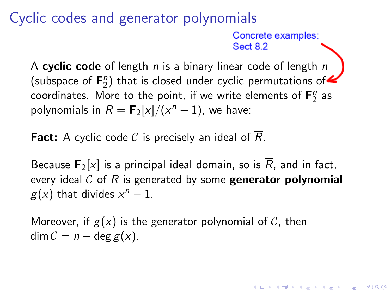## Cyclic codes and generator polynomials

Concrete examples: **Sect 8.2** 

**KORKAR KERKER SAGA** 

A cyclic code of length  $n$  is a binary linear code of length  $n$ (subspace of  $F_2^n$ ) that is closed under cyclic permutations of coordinates. More to the point, if we write elements of  $\mathsf{F}_{2}^{n}$  as polynomials in  $\overline{R} = \mathsf{F}_2[x]/(x^n-1)$ , we have:

**Fact:** A cyclic code  $C$  is precisely an ideal of  $R$ .

Because  $\mathbf{F}_2[x]$  is a principal ideal domain, so is  $\overline{R}$ , and in fact, every ideal C of  $\overline{R}$  is generated by some **generator polynomial**  $g(x)$  that divides  $x^n - 1$ .

Moreover, if  $g(x)$  is the generator polynomial of  $C$ , then  $\dim \mathcal{C} = n - \deg g(x)$ .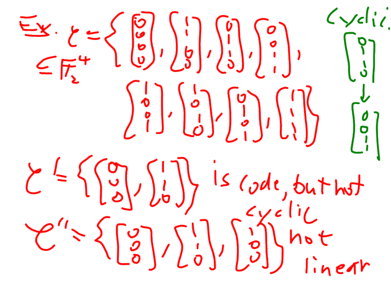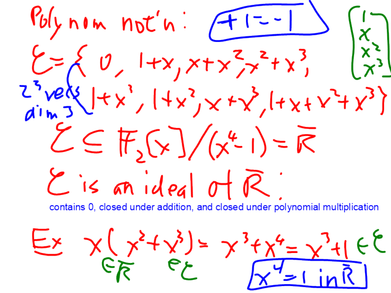Polynom  $not'n$ :  $f(-1)$   $(x)$  $\zeta = \begin{cases} 0, & |+x, x+x^2, z^2+x^3, & |x^3| \ x^3, & |x^4| \ x^4, & |+x^3, x^3+2x^2+2x^3, & |x^4| \ x^5, & |+x^2, x^2+2x^3+2x^3 \end{cases}$  $\zeta \in \mathbb{F}_{2}(x)/(\chi^{2}L_{1})=\overline{K}$  $E$  is an ideal of  $\overline{R}$ contains 0, closed under addition, and closed under polynomial multiplication

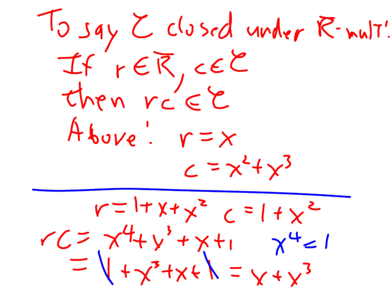To say  $Z$  closed under R-mult! If rER, CEC<br>Then rc EC Above:  $r = x$  $c = x^2 + x^3$  $r = 1 + x + x^2$   $c = 1 + x^2$  $VC = \chi^{4} + y^{3} + x + 1$ <br>=  $\sqrt{+x^{3} + x + 1}$ <br>=  $\sqrt{+x^{3} + x + 1}$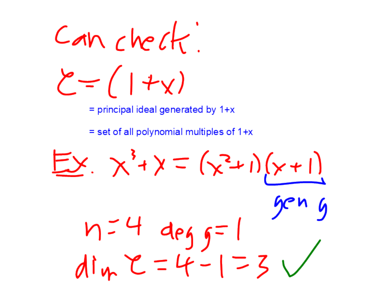Canchect  $\zeta = (1 + x)$  $=$  principal ideal generated by 1+x

 $=$  set of all polynomial multiples of 1+x

 $E y \times 1 = (x^2 + 1)(x + 1)$  $n=4$  deg  $5=1$ <br>din  $2=4-1=3$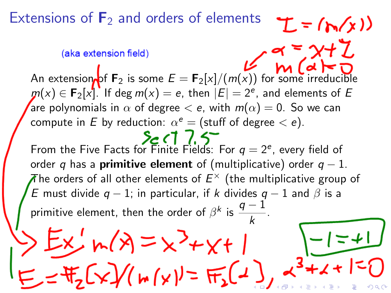Extensions of  $\mathbf{F}_2$  and orders of elements

#### (aka extension field)

An extension of  $\mathbf{F}_2$  is some  $E = \mathbf{F}_2[x]/(m(x))$  for some irreducible  $\pmb{m}(x)\in\mathsf{F}_2[x]$ . If deg  $m(x)=e,$  then  $|E|=2^e,$  and elements of  $E$ are polynomials in  $\alpha$  of degree  $< e$ , with  $m(\alpha) = 0$ . So we can compute in  $E$  by reduction:  $\alpha^e =$  (stuff of degree  $< e$ ).

 $T = (b(x))$ 

 $2c(17.5$ From the Five Facts for Finite Fields: For  $q=2^e$ , every field of order q has a **primitive element** of (multiplicative) order  $q - 1$ .  $\bar{A}$ he orders of all other elements of  $E^\times$  (the multiplicative group of E must divide  $q - 1$ ; in particular, if k divides  $q - 1$  and  $\beta$  is a primitive element, then the order of  $\beta^k$  is  $\frac{q-1}{k}$ .  $Ex^{\prime}$ m(x) =  $x^3+x+1$  $\frac{1}{2}[\sqrt{x}](\mu(x)) = \frac{1}{2}[\sqrt{x}]$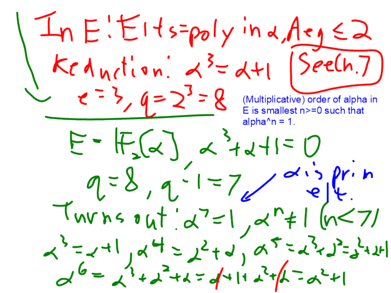$\int ln E$ : Elts=poly in a Aeg  $\leq$  2  $Kc \wedge_{N} t^{1} \circ n^{1} \prec^{3} = d+1 \text{ [See(h,7)]}$ <br> $e^{-3}$ ,  $q = 2^{3} = 8$  (Multiplicative) order of alpha in alpha $\gamma$ n = 1.  $E - F_s(\alpha)$   $\alpha$   $\alpha$   $\beta$   $\alpha$   $\beta$  $9=8,9=1=7$  disprim  $Twrs \cdot ut'_{\alpha}z=1_{\alpha}r+1(n<7)$  $x^3 = x + 1$   $x^4 = 2^2 + 2^4$   $x^5 = x^3 - 2^2 + 24$ <br>  $x^6 = x^3 + 2^2 + 2 = 4 + 1 + 2^4$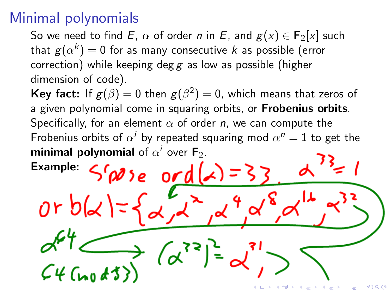# Minimal polynomials

 $or$   $b(x)$ 

So we need to find E,  $\alpha$  of order n in E, and  $g(x) \in F_2[x]$  such that  $g(\alpha^k)=0$  for as many consecutive  $k$  as possible (error correction) while keeping deg  $g$  as low as possible (higher dimension of code).

**Key fact:** If  $g(\beta) = 0$  then  $g(\beta^2) = 0$ , which means that zeros of a given polynomial come in squaring orbits, or Frobenius orbits. Specifically, for an element  $\alpha$  of order n, we can compute the Frobenius orbits of  $\alpha^i$  by repeated squaring mod  $\alpha^n=1$  to get the minimal polynomial of  $\alpha^i$  over F<sub>2</sub>.  $S(\omega)e$  ord $(\lambda)=3$ Example:

 $(a^{33})$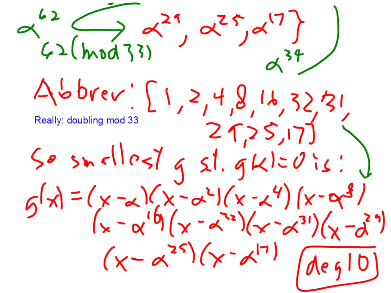$\alpha^{62}$   $\longleftrightarrow \alpha^{21}$ ,  $\alpha^{25}$ ,  $\alpha^{17}$ <br> $\longleftrightarrow (\text{mod }33)$  $a^{34}$ Abbrev: [1,2,4,8,16,32,31 Really: doubling mod 33  $25,5,17$  $50$  snallest  $g$  st.  $g$ kl= $0$ is: j  $G(x) = (x - x)(x - x^2)(x - x^4)(x - x^3)$ <br> $(x - x^1)(x - x^3)(x - x^3)(x - x^3)$  $(x - \alpha^{25})(x - \alpha^{17})$   $\sqrt{(100 - 10)}$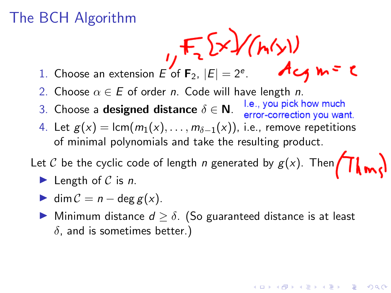# The BCH Algorithm

- 1. Choose an extension E of  $\mathbf{F}_2$ ,  $|E| = 2^e$ .
- 2. Choose  $\alpha \in E$  of order *n*. Code will have length *n*.
- 3. Choose a designed distance  $\delta \in \mathbb{N}$ . Le., you pick how much error-correction you want.
- 4. Let  $g(x) = \text{lcm}(m_1(x), \ldots, m_{\delta-1}(x))$ , i.e., remove repetitions of minimal polynomials and take the resulting product.

Let C be the cyclic code of length n generated by  $g(x)$ . Then  $\left(\prod_{\omega\in\Omega}g(\omega)\right)$ 

- length of  $C$  is n.
- $\blacktriangleright$  dim  $C = n \deg g(x)$ .
- ► Minimum distance  $d \geq \delta$ . (So guaranteed distance is at least  $\delta$ , and is sometimes better.)

**KORKARYKERKER POLO**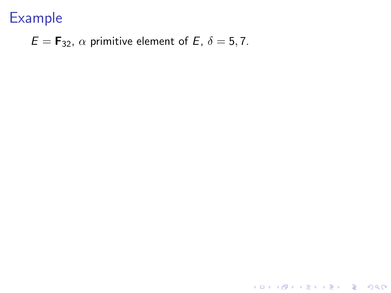Example

### $E = \mathbf{F}_{32}$ ,  $\alpha$  primitive element of E,  $\delta = 5, 7$ .

KOKK@KKEKKEK E 1990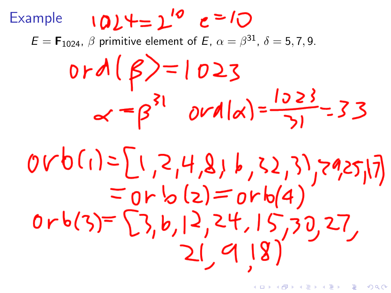$1024 = 2^{10}$   $e = 10$ Example  $\mathcal{E} = \mathsf{F}_{1024}, \ \beta$  primitive element of  $\mathcal{E}, \ \alpha = \beta^{31}, \ \delta = 5, 7, 9.$  $0rd(\beta)=1023$  $\alpha = \beta^{31}$  ord  $\alpha = \frac{1523}{31} = 33$  $\begin{array}{l} 0rb(1)=\begin{bmatrix}1,2,4,8,6,52,3\\70+b(4)\end{bmatrix}\\ =0rb(3)=\begin{bmatrix}3,b,12,24,15,30,27,\\ 21,9,18\end{bmatrix}\end{array}$